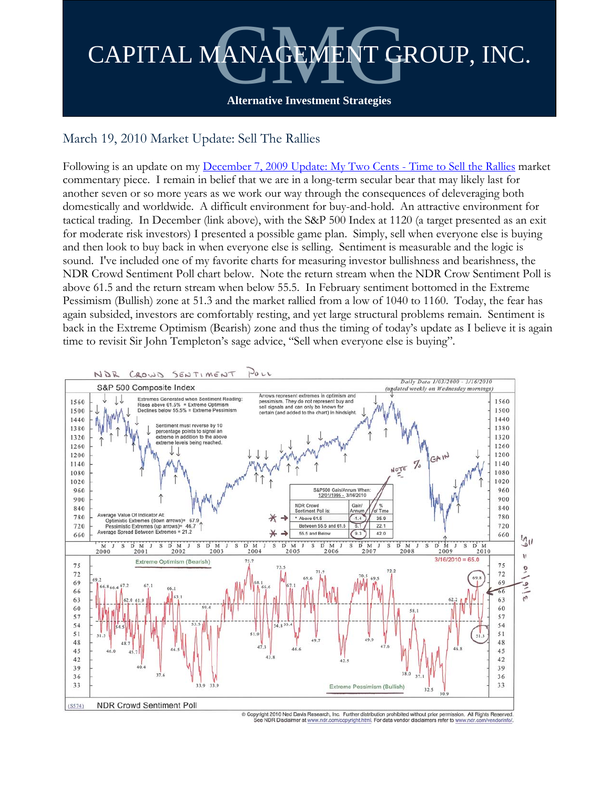

## March 19, 2010 Market Update: Sell The Rallies

Following is an update on my [December 7, 2009 Update: My Two Cents - Time to Sell the Rallies](http://cmgfunds.net/sys/docs/178/CMG%20December%202009%20Update%20-%20Time%20to%20Sell%20the%20Rallies.pdf) market commentary piece. I remain in belief that we are in a long-term secular bear that may likely last for another seven or so more years as we work our way through the consequences of deleveraging both domestically and worldwide. A difficult environment for buy-and-hold. An attractive environment for tactical trading. In December (link above), with the S&P 500 Index at 1120 (a target presented as an exit for moderate risk investors) I presented a possible game plan. Simply, sell when everyone else is buying and then look to buy back in when everyone else is selling. Sentiment is measurable and the logic is sound. I've included one of my favorite charts for measuring investor bullishness and bearishness, the NDR Crowd Sentiment Poll chart below. Note the return stream when the NDR Crow Sentiment Poll is above 61.5 and the return stream when below 55.5. In February sentiment bottomed in the Extreme Pessimism (Bullish) zone at 51.3 and the market rallied from a low of 1040 to 1160. Today, the fear has again subsided, investors are comfortably resting, and yet large structural problems remain. Sentiment is back in the Extreme Optimism (Bearish) zone and thus the timing of today's update as I believe it is again time to revisit Sir John Templeton's sage advice, "Sell when everyone else is buying".

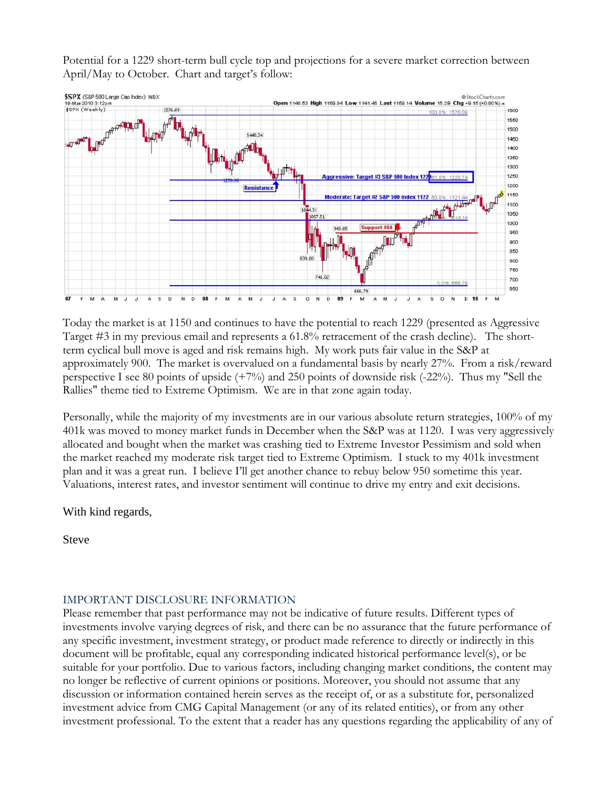Potential for a 1229 short-term bull cycle top and projections for a severe market correction between April/May to October. Chart and target's follow:



Today the market is at 1150 and continues to have the potential to reach 1229 (presented as Aggressive Target #3 in my previous email and represents a 61.8% retracement of the crash decline). The shortterm cyclical bull move is aged and risk remains high. My work puts fair value in the S&P at approximately 900. The market is overvalued on a fundamental basis by nearly 27%. From a risk/reward perspective I see 80 points of upside (+7%) and 250 points of downside risk (-22%). Thus my "Sell the Rallies" theme tied to Extreme Optimism. We are in that zone again today.

Personally, while the majority of my investments are in our various absolute return strategies, 100% of my 401k was moved to money market funds in December when the S&P was at 1120. I was very aggressively allocated and bought when the market was crashing tied to Extreme Investor Pessimism and sold when the market reached my moderate risk target tied to Extreme Optimism. I stuck to my 401k investment plan and it was a great run. I believe I'll get another chance to rebuy below 950 sometime this year. Valuations, interest rates, and investor sentiment will continue to drive my entry and exit decisions.

## With kind regards,

Steve

## IMPORTANT DISCLOSURE INFORMATION

Please remember that past performance may not be indicative of future results. Different types of investments involve varying degrees of risk, and there can be no assurance that the future performance of any specific investment, investment strategy, or product made reference to directly or indirectly in this document will be profitable, equal any corresponding indicated historical performance level(s), or be suitable for your portfolio. Due to various factors, including changing market conditions, the content may no longer be reflective of current opinions or positions. Moreover, you should not assume that any discussion or information contained herein serves as the receipt of, or as a substitute for, personalized investment advice from CMG Capital Management (or any of its related entities), or from any other investment professional. To the extent that a reader has any questions regarding the applicability of any of